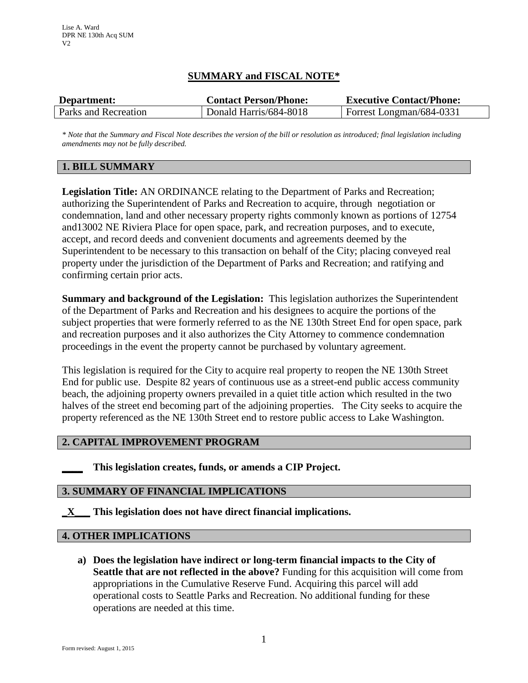# **SUMMARY and FISCAL NOTE\***

| Department:          | <b>Contact Person/Phone:</b> | <b>Executive Contact/Phone:</b> |
|----------------------|------------------------------|---------------------------------|
| Parks and Recreation | Donald Harris/684-8018       | Forrest Longman/684-0331        |

*\* Note that the Summary and Fiscal Note describes the version of the bill or resolution as introduced; final legislation including amendments may not be fully described.*

## **1. BILL SUMMARY**

**Legislation Title:** AN ORDINANCE relating to the Department of Parks and Recreation; authorizing the Superintendent of Parks and Recreation to acquire, through negotiation or condemnation, land and other necessary property rights commonly known as portions of 12754 and13002 NE Riviera Place for open space, park, and recreation purposes, and to execute, accept, and record deeds and convenient documents and agreements deemed by the Superintendent to be necessary to this transaction on behalf of the City; placing conveyed real property under the jurisdiction of the Department of Parks and Recreation; and ratifying and confirming certain prior acts.

**Summary and background of the Legislation:** This legislation authorizes the Superintendent of the Department of Parks and Recreation and his designees to acquire the portions of the subject properties that were formerly referred to as the NE 130th Street End for open space, park and recreation purposes and it also authorizes the City Attorney to commence condemnation proceedings in the event the property cannot be purchased by voluntary agreement.

This legislation is required for the City to acquire real property to reopen the NE 130th Street End for public use. Despite 82 years of continuous use as a street-end public access community beach, the adjoining property owners prevailed in a quiet title action which resulted in the two halves of the street end becoming part of the adjoining properties. The City seeks to acquire the property referenced as the NE 130th Street end to restore public access to Lake Washington.

### **2. CAPITAL IMPROVEMENT PROGRAM**

**\_\_\_\_ This legislation creates, funds, or amends a CIP Project.** 

### **3. SUMMARY OF FINANCIAL IMPLICATIONS**

**\_X\_\_\_ This legislation does not have direct financial implications.**

### **4. OTHER IMPLICATIONS**

**a) Does the legislation have indirect or long-term financial impacts to the City of Seattle that are not reflected in the above?** Funding for this acquisition will come from appropriations in the Cumulative Reserve Fund. Acquiring this parcel will add operational costs to Seattle Parks and Recreation. No additional funding for these operations are needed at this time.